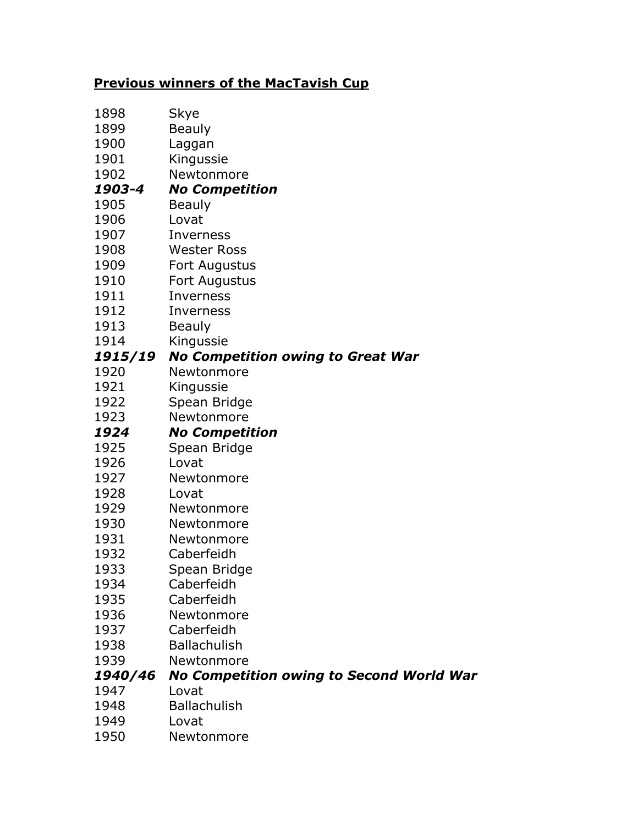## **Previous winners of the MacTavish Cup**

| 1898         | Skye                                            |
|--------------|-------------------------------------------------|
| 1899         | <b>Beauly</b>                                   |
| 1900         | Laggan                                          |
| 1901         | Kingussie                                       |
| 1902         | Newtonmore                                      |
| 1903-4       | <b>No Competition</b>                           |
| 1905         | <b>Beauly</b>                                   |
| 1906         | Lovat                                           |
| 1907         | Inverness                                       |
| 1908         | <b>Wester Ross</b>                              |
| 1909         | Fort Augustus                                   |
| 1910         | Fort Augustus                                   |
| 1911         | Inverness                                       |
| 1912         | Inverness                                       |
| 1913         | <b>Beauly</b>                                   |
| 1914         | Kingussie                                       |
| 1915/19      | <b>No Competition owing to Great War</b>        |
| 1920         | Newtonmore                                      |
| 1921         | Kingussie                                       |
| 1922         | Spean Bridge                                    |
| 1923         | Newtonmore                                      |
| 1924         | <b>No Competition</b>                           |
|              |                                                 |
| 1925         | Spean Bridge                                    |
| 1926         | Lovat                                           |
| 1927         | Newtonmore                                      |
| 1928         | Lovat                                           |
| 1929         | Newtonmore                                      |
| 1930         | Newtonmore                                      |
| 1931         | Newtonmore                                      |
| 1932         | Caberfeidh                                      |
| 1933         | Spean Bridge                                    |
| 1934         | Caberfeidh                                      |
| 1935         | Caberfeidh                                      |
| 1936         | Newtonmore                                      |
| 1937         | Caberfeidh                                      |
| 1938         | <b>Ballachulish</b>                             |
| 1939         | Newtonmore                                      |
| 1940/46      | <b>No Competition owing to Second World War</b> |
| 1947         | Lovat                                           |
| 1948         | <b>Ballachulish</b>                             |
| 1949<br>1950 | Lovat<br>Newtonmore                             |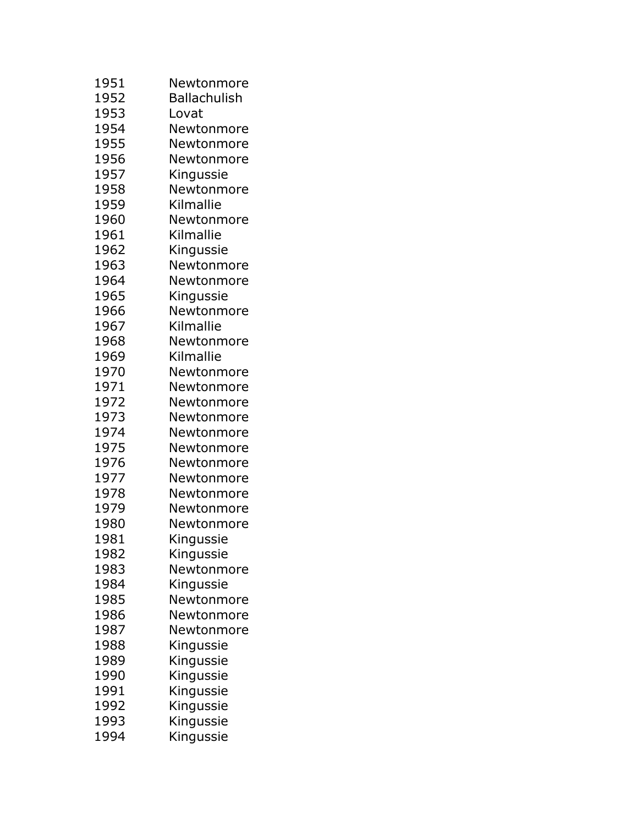| 1951 | Newtonmore          |
|------|---------------------|
| 1952 | <b>Ballachulish</b> |
| 1953 | Lovat               |
| 1954 | Newtonmore          |
| 1955 | Newtonmore          |
| 1956 | Newtonmore          |
| 1957 | Kingussie           |
| 1958 | Newtonmore          |
| 1959 | Kilmallie           |
| 1960 | Newtonmore          |
| 1961 | Kilmallie           |
| 1962 | Kingussie           |
| 1963 | Newtonmore          |
| 1964 | Newtonmore          |
| 1965 | Kingussie           |
| 1966 | Newtonmore          |
| 1967 | Kilmallie           |
| 1968 | Newtonmore          |
| 1969 | Kilmallie           |
| 1970 | Newtonmore          |
| 1971 | Newtonmore          |
| 1972 | Newtonmore          |
| 1973 | Newtonmore          |
| 1974 | Newtonmore          |
| 1975 | Newtonmore          |
| 1976 | Newtonmore          |
| 1977 | Newtonmore          |
| 1978 | Newtonmore          |
| 1979 | Newtonmore          |
| 1980 | Newtonmore          |
| 1981 | Kingussie           |
| 1982 | Kingussie           |
| 1983 | Newtonmore          |
| 1984 | Kingussie           |
| 1985 | Newtonmore          |
| 1986 | Newtonmore          |
| 1987 | Newtonmore          |
| 1988 | Kingussie           |
| 1989 | Kingussie           |
| 1990 | Kingussie           |
| 1991 | Kingussie           |
| 1992 | Kingussie           |
| 1993 | Kingussie           |
| 1994 | Kingussie           |
|      |                     |